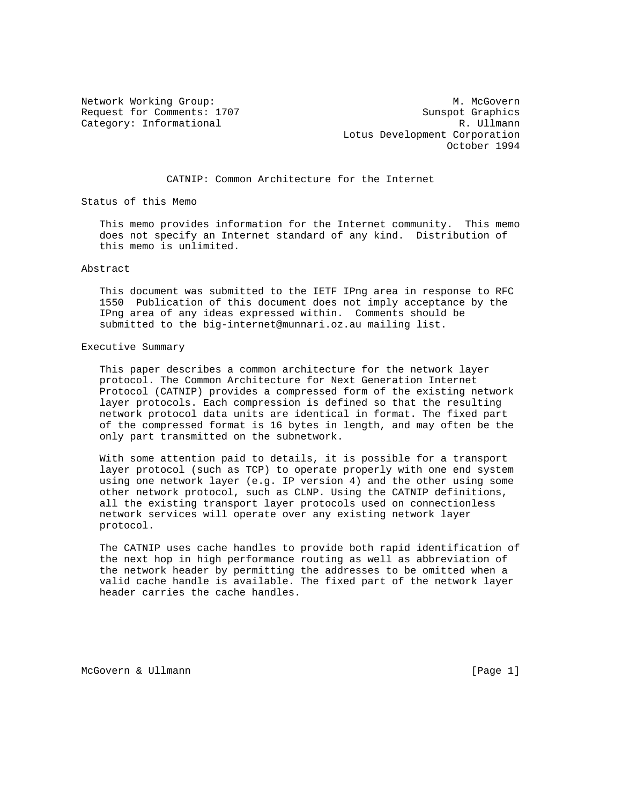Network Working Group:  $M.$  McGovern Request for Comments: 1707 Sunspot Graphics Category: Informational R. Ullmann Lotus Development Corporation October 1994

# CATNIP: Common Architecture for the Internet

Status of this Memo

 This memo provides information for the Internet community. This memo does not specify an Internet standard of any kind. Distribution of this memo is unlimited.

Abstract

 This document was submitted to the IETF IPng area in response to RFC 1550 Publication of this document does not imply acceptance by the IPng area of any ideas expressed within. Comments should be submitted to the big-internet@munnari.oz.au mailing list.

## Executive Summary

 This paper describes a common architecture for the network layer protocol. The Common Architecture for Next Generation Internet Protocol (CATNIP) provides a compressed form of the existing network layer protocols. Each compression is defined so that the resulting network protocol data units are identical in format. The fixed part of the compressed format is 16 bytes in length, and may often be the only part transmitted on the subnetwork.

 With some attention paid to details, it is possible for a transport layer protocol (such as TCP) to operate properly with one end system using one network layer (e.g. IP version 4) and the other using some other network protocol, such as CLNP. Using the CATNIP definitions, all the existing transport layer protocols used on connectionless network services will operate over any existing network layer protocol.

 The CATNIP uses cache handles to provide both rapid identification of the next hop in high performance routing as well as abbreviation of the network header by permitting the addresses to be omitted when a valid cache handle is available. The fixed part of the network layer header carries the cache handles.

McGovern & Ullmann (Page 1)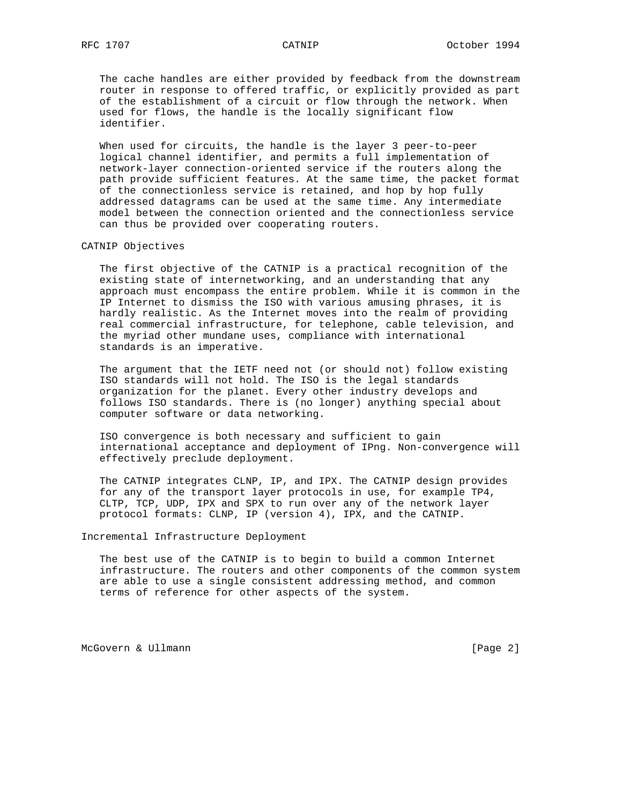The cache handles are either provided by feedback from the downstream router in response to offered traffic, or explicitly provided as part of the establishment of a circuit or flow through the network. When used for flows, the handle is the locally significant flow identifier.

 When used for circuits, the handle is the layer 3 peer-to-peer logical channel identifier, and permits a full implementation of network-layer connection-oriented service if the routers along the path provide sufficient features. At the same time, the packet format of the connectionless service is retained, and hop by hop fully addressed datagrams can be used at the same time. Any intermediate model between the connection oriented and the connectionless service can thus be provided over cooperating routers.

## CATNIP Objectives

 The first objective of the CATNIP is a practical recognition of the existing state of internetworking, and an understanding that any approach must encompass the entire problem. While it is common in the IP Internet to dismiss the ISO with various amusing phrases, it is hardly realistic. As the Internet moves into the realm of providing real commercial infrastructure, for telephone, cable television, and the myriad other mundane uses, compliance with international standards is an imperative.

 The argument that the IETF need not (or should not) follow existing ISO standards will not hold. The ISO is the legal standards organization for the planet. Every other industry develops and follows ISO standards. There is (no longer) anything special about computer software or data networking.

 ISO convergence is both necessary and sufficient to gain international acceptance and deployment of IPng. Non-convergence will effectively preclude deployment.

 The CATNIP integrates CLNP, IP, and IPX. The CATNIP design provides for any of the transport layer protocols in use, for example TP4, CLTP, TCP, UDP, IPX and SPX to run over any of the network layer protocol formats: CLNP, IP (version 4), IPX, and the CATNIP.

Incremental Infrastructure Deployment

 The best use of the CATNIP is to begin to build a common Internet infrastructure. The routers and other components of the common system are able to use a single consistent addressing method, and common terms of reference for other aspects of the system.

McGovern & Ullmann [Page 2]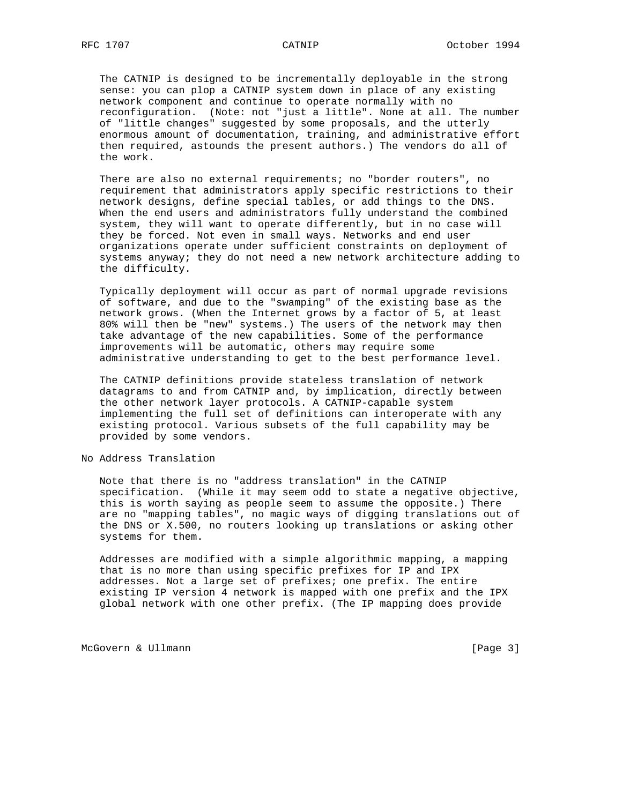The CATNIP is designed to be incrementally deployable in the strong sense: you can plop a CATNIP system down in place of any existing network component and continue to operate normally with no reconfiguration. (Note: not "just a little". None at all. The number of "little changes" suggested by some proposals, and the utterly enormous amount of documentation, training, and administrative effort then required, astounds the present authors.) The vendors do all of the work.

There are also no external requirements; no "border routers", no requirement that administrators apply specific restrictions to their network designs, define special tables, or add things to the DNS. When the end users and administrators fully understand the combined system, they will want to operate differently, but in no case will they be forced. Not even in small ways. Networks and end user organizations operate under sufficient constraints on deployment of systems anyway; they do not need a new network architecture adding to the difficulty.

 Typically deployment will occur as part of normal upgrade revisions of software, and due to the "swamping" of the existing base as the network grows. (When the Internet grows by a factor of 5, at least 80% will then be "new" systems.) The users of the network may then take advantage of the new capabilities. Some of the performance improvements will be automatic, others may require some administrative understanding to get to the best performance level.

 The CATNIP definitions provide stateless translation of network datagrams to and from CATNIP and, by implication, directly between the other network layer protocols. A CATNIP-capable system implementing the full set of definitions can interoperate with any existing protocol. Various subsets of the full capability may be provided by some vendors.

No Address Translation

 Note that there is no "address translation" in the CATNIP specification. (While it may seem odd to state a negative objective, this is worth saying as people seem to assume the opposite.) There are no "mapping tables", no magic ways of digging translations out of the DNS or X.500, no routers looking up translations or asking other systems for them.

 Addresses are modified with a simple algorithmic mapping, a mapping that is no more than using specific prefixes for IP and IPX addresses. Not a large set of prefixes; one prefix. The entire existing IP version 4 network is mapped with one prefix and the IPX global network with one other prefix. (The IP mapping does provide

McGovern & Ullmann (Page 3)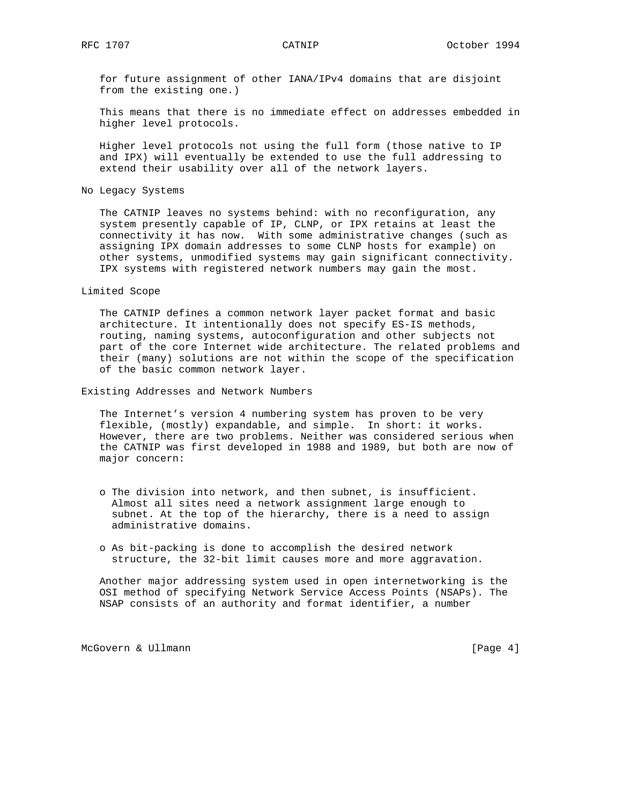for future assignment of other IANA/IPv4 domains that are disjoint from the existing one.)

 This means that there is no immediate effect on addresses embedded in higher level protocols.

 Higher level protocols not using the full form (those native to IP and IPX) will eventually be extended to use the full addressing to extend their usability over all of the network layers.

No Legacy Systems

 The CATNIP leaves no systems behind: with no reconfiguration, any system presently capable of IP, CLNP, or IPX retains at least the connectivity it has now. With some administrative changes (such as assigning IPX domain addresses to some CLNP hosts for example) on other systems, unmodified systems may gain significant connectivity. IPX systems with registered network numbers may gain the most.

## Limited Scope

 The CATNIP defines a common network layer packet format and basic architecture. It intentionally does not specify ES-IS methods, routing, naming systems, autoconfiguration and other subjects not part of the core Internet wide architecture. The related problems and their (many) solutions are not within the scope of the specification of the basic common network layer.

Existing Addresses and Network Numbers

 The Internet's version 4 numbering system has proven to be very flexible, (mostly) expandable, and simple. In short: it works. However, there are two problems. Neither was considered serious when the CATNIP was first developed in 1988 and 1989, but both are now of major concern:

- o The division into network, and then subnet, is insufficient. Almost all sites need a network assignment large enough to subnet. At the top of the hierarchy, there is a need to assign administrative domains.
- o As bit-packing is done to accomplish the desired network structure, the 32-bit limit causes more and more aggravation.

 Another major addressing system used in open internetworking is the OSI method of specifying Network Service Access Points (NSAPs). The NSAP consists of an authority and format identifier, a number

McGovern & Ullmann [Page 4]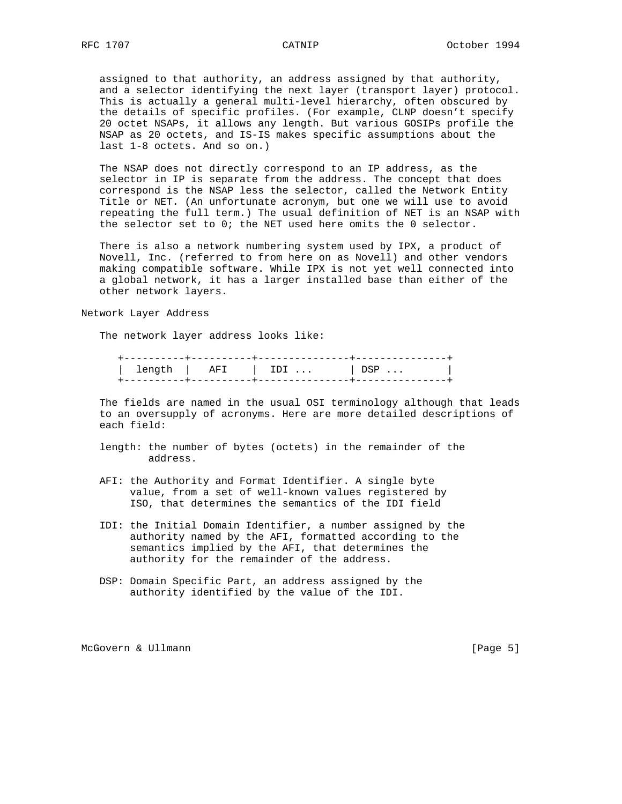assigned to that authority, an address assigned by that authority, and a selector identifying the next layer (transport layer) protocol. This is actually a general multi-level hierarchy, often obscured by the details of specific profiles. (For example, CLNP doesn't specify 20 octet NSAPs, it allows any length. But various GOSIPs profile the NSAP as 20 octets, and IS-IS makes specific assumptions about the last 1-8 octets. And so on.)

 The NSAP does not directly correspond to an IP address, as the selector in IP is separate from the address. The concept that does correspond is the NSAP less the selector, called the Network Entity Title or NET. (An unfortunate acronym, but one we will use to avoid repeating the full term.) The usual definition of NET is an NSAP with the selector set to 0; the NET used here omits the 0 selector.

 There is also a network numbering system used by IPX, a product of Novell, Inc. (referred to from here on as Novell) and other vendors making compatible software. While IPX is not yet well connected into a global network, it has a larger installed base than either of the other network layers.

Network Layer Address

The network layer address looks like:

| lenatl | h   AFI | $\vert$ IDI $\vert$ DSP |  |
|--------|---------|-------------------------|--|
|        |         |                         |  |

 The fields are named in the usual OSI terminology although that leads to an oversupply of acronyms. Here are more detailed descriptions of each field:

- length: the number of bytes (octets) in the remainder of the address.
- AFI: the Authority and Format Identifier. A single byte value, from a set of well-known values registered by ISO, that determines the semantics of the IDI field
- IDI: the Initial Domain Identifier, a number assigned by the authority named by the AFI, formatted according to the semantics implied by the AFI, that determines the authority for the remainder of the address.
- DSP: Domain Specific Part, an address assigned by the authority identified by the value of the IDI.

McGovern & Ullmann (Page 5)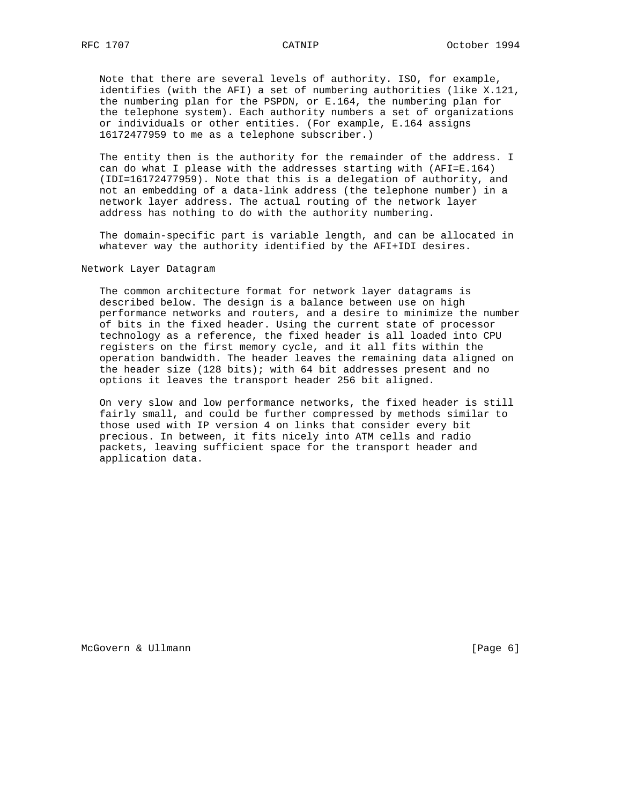Note that there are several levels of authority. ISO, for example, identifies (with the AFI) a set of numbering authorities (like X.121, the numbering plan for the PSPDN, or E.164, the numbering plan for the telephone system). Each authority numbers a set of organizations or individuals or other entities. (For example, E.164 assigns 16172477959 to me as a telephone subscriber.)

The entity then is the authority for the remainder of the address. I can do what I please with the addresses starting with (AFI=E.164) (IDI=16172477959). Note that this is a delegation of authority, and not an embedding of a data-link address (the telephone number) in a network layer address. The actual routing of the network layer address has nothing to do with the authority numbering.

 The domain-specific part is variable length, and can be allocated in whatever way the authority identified by the AFI+IDI desires.

Network Layer Datagram

 The common architecture format for network layer datagrams is described below. The design is a balance between use on high performance networks and routers, and a desire to minimize the number of bits in the fixed header. Using the current state of processor technology as a reference, the fixed header is all loaded into CPU registers on the first memory cycle, and it all fits within the operation bandwidth. The header leaves the remaining data aligned on the header size (128 bits); with 64 bit addresses present and no options it leaves the transport header 256 bit aligned.

 On very slow and low performance networks, the fixed header is still fairly small, and could be further compressed by methods similar to those used with IP version 4 on links that consider every bit precious. In between, it fits nicely into ATM cells and radio packets, leaving sufficient space for the transport header and application data.

McGovern & Ullmann [Page 6]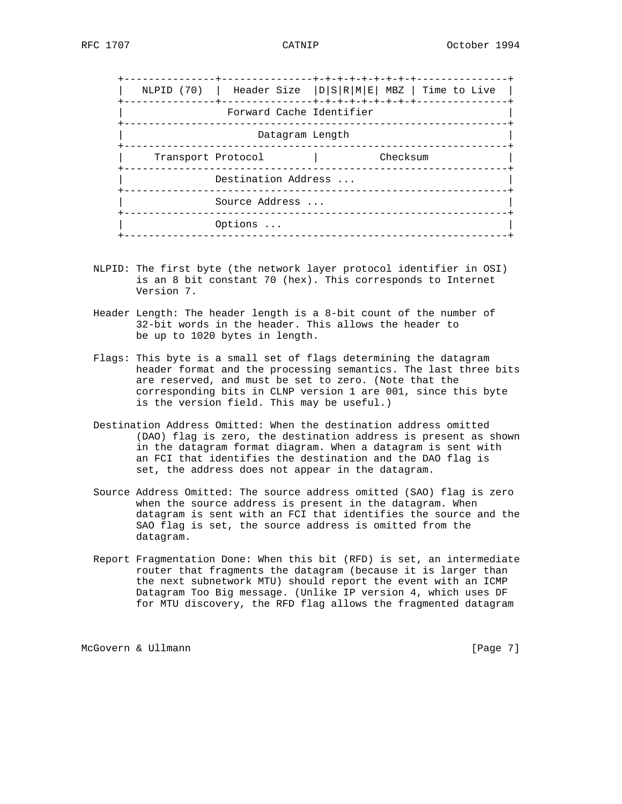|                    |                          | NLPID (70)   Header Size  D S R M E  MBZ   Time to Live |
|--------------------|--------------------------|---------------------------------------------------------|
|                    | Forward Cache Identifier |                                                         |
|                    | Datagram Length          |                                                         |
| Transport Protocol |                          | Checksum                                                |
|                    | Destination Address      |                                                         |
|                    | Source Address           |                                                         |
|                    | Options                  |                                                         |
|                    |                          |                                                         |

- NLPID: The first byte (the network layer protocol identifier in OSI) is an 8 bit constant 70 (hex). This corresponds to Internet Version 7.
- Header Length: The header length is a 8-bit count of the number of 32-bit words in the header. This allows the header to be up to 1020 bytes in length.
- Flags: This byte is a small set of flags determining the datagram header format and the processing semantics. The last three bits are reserved, and must be set to zero. (Note that the corresponding bits in CLNP version 1 are 001, since this byte is the version field. This may be useful.)
- Destination Address Omitted: When the destination address omitted (DAO) flag is zero, the destination address is present as shown in the datagram format diagram. When a datagram is sent with an FCI that identifies the destination and the DAO flag is set, the address does not appear in the datagram.
- Source Address Omitted: The source address omitted (SAO) flag is zero when the source address is present in the datagram. When datagram is sent with an FCI that identifies the source and the SAO flag is set, the source address is omitted from the datagram.
- Report Fragmentation Done: When this bit (RFD) is set, an intermediate router that fragments the datagram (because it is larger than the next subnetwork MTU) should report the event with an ICMP Datagram Too Big message. (Unlike IP version 4, which uses DF for MTU discovery, the RFD flag allows the fragmented datagram

McGovern & Ullmann [Page 7]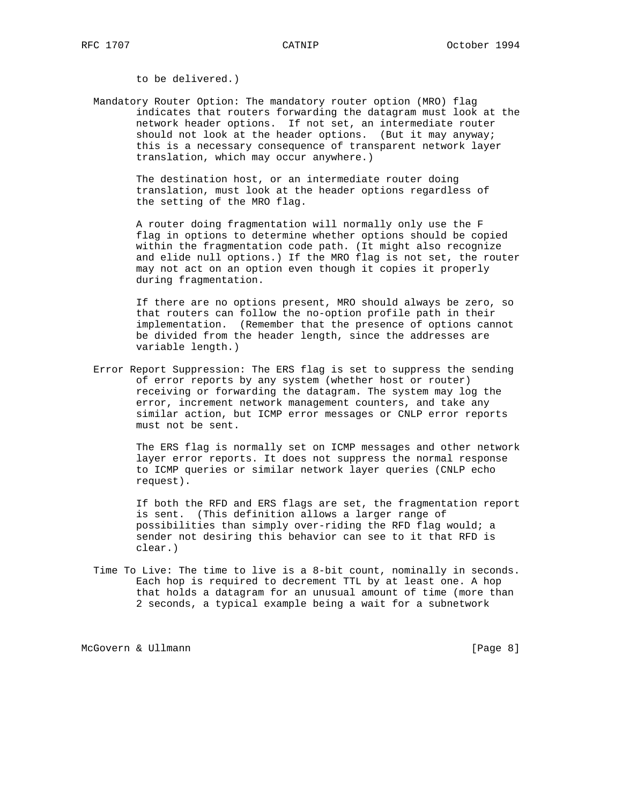to be delivered.)

 Mandatory Router Option: The mandatory router option (MRO) flag indicates that routers forwarding the datagram must look at the network header options. If not set, an intermediate router should not look at the header options. (But it may anyway; this is a necessary consequence of transparent network layer translation, which may occur anywhere.)

> The destination host, or an intermediate router doing translation, must look at the header options regardless of the setting of the MRO flag.

 A router doing fragmentation will normally only use the F flag in options to determine whether options should be copied within the fragmentation code path. (It might also recognize and elide null options.) If the MRO flag is not set, the router may not act on an option even though it copies it properly during fragmentation.

 If there are no options present, MRO should always be zero, so that routers can follow the no-option profile path in their implementation. (Remember that the presence of options cannot be divided from the header length, since the addresses are variable length.)

 Error Report Suppression: The ERS flag is set to suppress the sending of error reports by any system (whether host or router) receiving or forwarding the datagram. The system may log the error, increment network management counters, and take any similar action, but ICMP error messages or CNLP error reports must not be sent.

 The ERS flag is normally set on ICMP messages and other network layer error reports. It does not suppress the normal response to ICMP queries or similar network layer queries (CNLP echo request).

 If both the RFD and ERS flags are set, the fragmentation report is sent. (This definition allows a larger range of possibilities than simply over-riding the RFD flag would; a sender not desiring this behavior can see to it that RFD is clear.)

 Time To Live: The time to live is a 8-bit count, nominally in seconds. Each hop is required to decrement TTL by at least one. A hop that holds a datagram for an unusual amount of time (more than 2 seconds, a typical example being a wait for a subnetwork

McGovern & Ullmann [Page 8]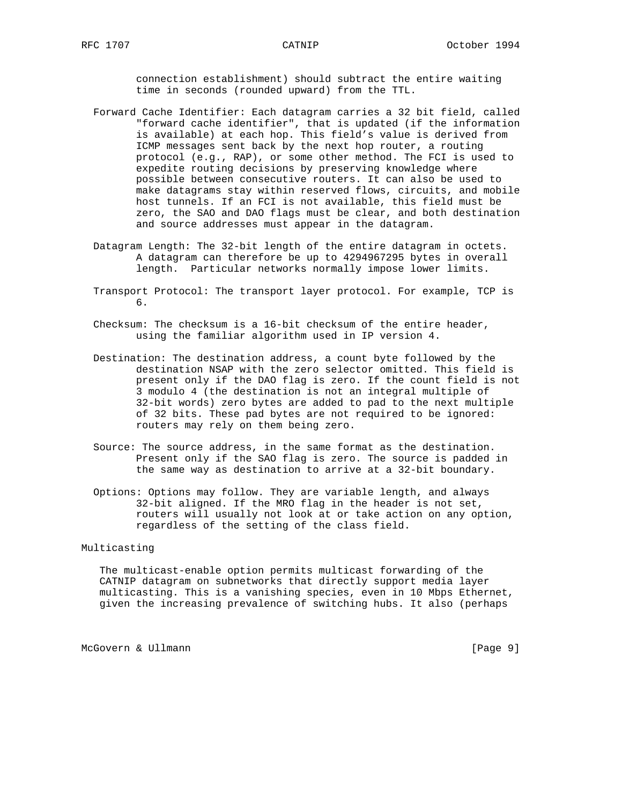connection establishment) should subtract the entire waiting time in seconds (rounded upward) from the TTL.

- Forward Cache Identifier: Each datagram carries a 32 bit field, called "forward cache identifier", that is updated (if the information is available) at each hop. This field's value is derived from ICMP messages sent back by the next hop router, a routing protocol (e.g., RAP), or some other method. The FCI is used to expedite routing decisions by preserving knowledge where possible between consecutive routers. It can also be used to make datagrams stay within reserved flows, circuits, and mobile host tunnels. If an FCI is not available, this field must be zero, the SAO and DAO flags must be clear, and both destination and source addresses must appear in the datagram.
	- Datagram Length: The 32-bit length of the entire datagram in octets. A datagram can therefore be up to 4294967295 bytes in overall length. Particular networks normally impose lower limits.
	- Transport Protocol: The transport layer protocol. For example, TCP is 6.
	- Checksum: The checksum is a 16-bit checksum of the entire header, using the familiar algorithm used in IP version 4.
	- Destination: The destination address, a count byte followed by the destination NSAP with the zero selector omitted. This field is present only if the DAO flag is zero. If the count field is not 3 modulo 4 (the destination is not an integral multiple of 32-bit words) zero bytes are added to pad to the next multiple of 32 bits. These pad bytes are not required to be ignored: routers may rely on them being zero.
	- Source: The source address, in the same format as the destination. Present only if the SAO flag is zero. The source is padded in the same way as destination to arrive at a 32-bit boundary.
	- Options: Options may follow. They are variable length, and always 32-bit aligned. If the MRO flag in the header is not set, routers will usually not look at or take action on any option, regardless of the setting of the class field.

# Multicasting

 The multicast-enable option permits multicast forwarding of the CATNIP datagram on subnetworks that directly support media layer multicasting. This is a vanishing species, even in 10 Mbps Ethernet, given the increasing prevalence of switching hubs. It also (perhaps

McGovern & Ullmann [Page 9]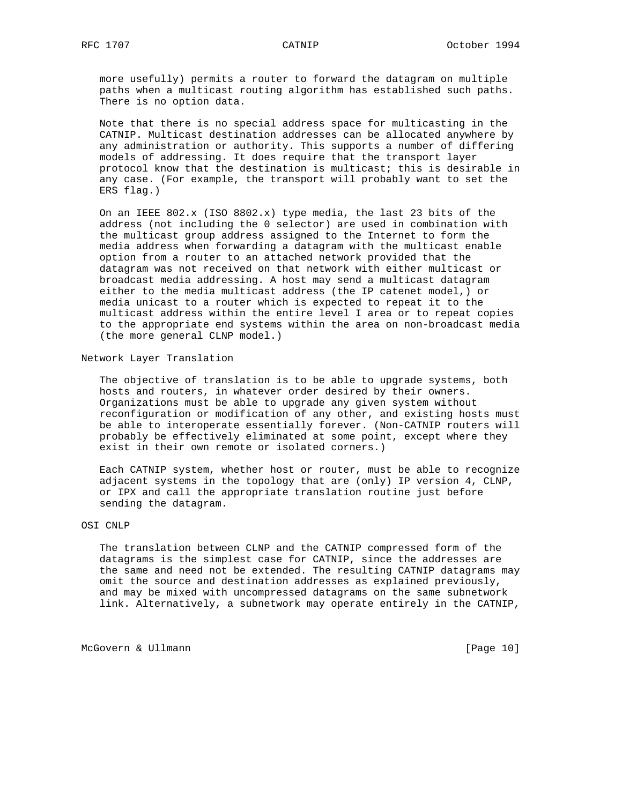more usefully) permits a router to forward the datagram on multiple paths when a multicast routing algorithm has established such paths. There is no option data.

 Note that there is no special address space for multicasting in the CATNIP. Multicast destination addresses can be allocated anywhere by any administration or authority. This supports a number of differing models of addressing. It does require that the transport layer protocol know that the destination is multicast; this is desirable in any case. (For example, the transport will probably want to set the ERS flag.)

 On an IEEE 802.x (ISO 8802.x) type media, the last 23 bits of the address (not including the 0 selector) are used in combination with the multicast group address assigned to the Internet to form the media address when forwarding a datagram with the multicast enable option from a router to an attached network provided that the datagram was not received on that network with either multicast or broadcast media addressing. A host may send a multicast datagram either to the media multicast address (the IP catenet model,) or media unicast to a router which is expected to repeat it to the multicast address within the entire level I area or to repeat copies to the appropriate end systems within the area on non-broadcast media (the more general CLNP model.)

Network Layer Translation

 The objective of translation is to be able to upgrade systems, both hosts and routers, in whatever order desired by their owners. Organizations must be able to upgrade any given system without reconfiguration or modification of any other, and existing hosts must be able to interoperate essentially forever. (Non-CATNIP routers will probably be effectively eliminated at some point, except where they exist in their own remote or isolated corners.)

 Each CATNIP system, whether host or router, must be able to recognize adjacent systems in the topology that are (only) IP version 4, CLNP, or IPX and call the appropriate translation routine just before sending the datagram.

OSI CNLP

 The translation between CLNP and the CATNIP compressed form of the datagrams is the simplest case for CATNIP, since the addresses are the same and need not be extended. The resulting CATNIP datagrams may omit the source and destination addresses as explained previously, and may be mixed with uncompressed datagrams on the same subnetwork link. Alternatively, a subnetwork may operate entirely in the CATNIP,

McGovern & Ullmann [Page 10]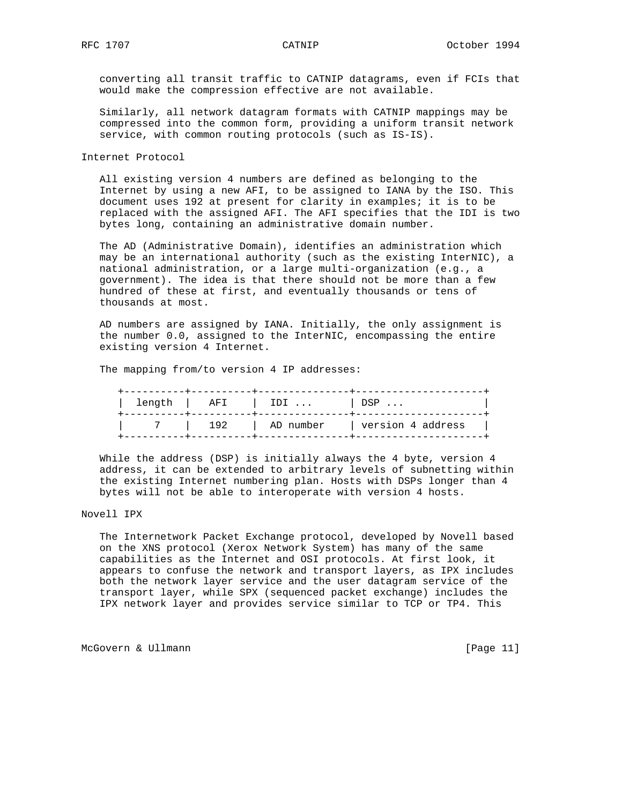converting all transit traffic to CATNIP datagrams, even if FCIs that would make the compression effective are not available.

 Similarly, all network datagram formats with CATNIP mappings may be compressed into the common form, providing a uniform transit network service, with common routing protocols (such as IS-IS).

Internet Protocol

 All existing version 4 numbers are defined as belonging to the Internet by using a new AFI, to be assigned to IANA by the ISO. This document uses 192 at present for clarity in examples; it is to be replaced with the assigned AFI. The AFI specifies that the IDI is two bytes long, containing an administrative domain number.

 The AD (Administrative Domain), identifies an administration which may be an international authority (such as the existing InterNIC), a national administration, or a large multi-organization (e.g., a government). The idea is that there should not be more than a few hundred of these at first, and eventually thousands or tens of thousands at most.

 AD numbers are assigned by IANA. Initially, the only assignment is the number 0.0, assigned to the InterNIC, encompassing the entire existing version 4 Internet.

The mapping from/to version 4 IP addresses:

|         | length   AFI   IDI | $\Box$ DSP $\ldots$           |
|---------|--------------------|-------------------------------|
| 7   192 |                    | AD number   version 4 address |

 While the address (DSP) is initially always the 4 byte, version 4 address, it can be extended to arbitrary levels of subnetting within the existing Internet numbering plan. Hosts with DSPs longer than 4 bytes will not be able to interoperate with version 4 hosts.

# Novell IPX

 The Internetwork Packet Exchange protocol, developed by Novell based on the XNS protocol (Xerox Network System) has many of the same capabilities as the Internet and OSI protocols. At first look, it appears to confuse the network and transport layers, as IPX includes both the network layer service and the user datagram service of the transport layer, while SPX (sequenced packet exchange) includes the IPX network layer and provides service similar to TCP or TP4. This

McGovern & Ullmann [Page 11]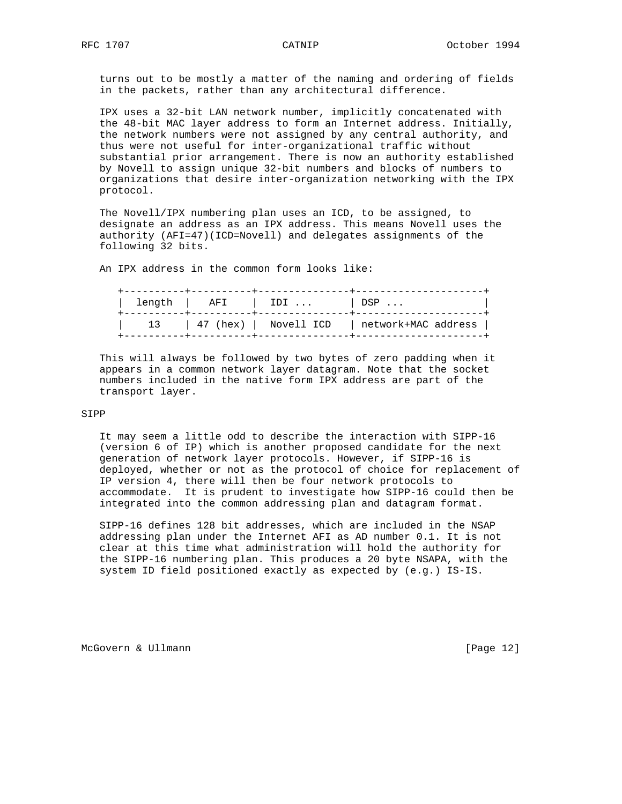turns out to be mostly a matter of the naming and ordering of fields in the packets, rather than any architectural difference.

 IPX uses a 32-bit LAN network number, implicitly concatenated with the 48-bit MAC layer address to form an Internet address. Initially, the network numbers were not assigned by any central authority, and thus were not useful for inter-organizational traffic without substantial prior arrangement. There is now an authority established by Novell to assign unique 32-bit numbers and blocks of numbers to organizations that desire inter-organization networking with the IPX protocol.

 The Novell/IPX numbering plan uses an ICD, to be assigned, to designate an address as an IPX address. This means Novell uses the authority (AFI=47)(ICD=Novell) and delegates assignments of the following 32 bits.

An IPX address in the common form looks like:

|    | length   AFI | IDI                             | DSP                 |
|----|--------------|---------------------------------|---------------------|
| 13 |              | $ 47 \text{ (hex)} $ Novell ICD | network+MAC address |

 This will always be followed by two bytes of zero padding when it appears in a common network layer datagram. Note that the socket numbers included in the native form IPX address are part of the transport layer.

# SIPP

 It may seem a little odd to describe the interaction with SIPP-16 (version 6 of IP) which is another proposed candidate for the next generation of network layer protocols. However, if SIPP-16 is deployed, whether or not as the protocol of choice for replacement of IP version 4, there will then be four network protocols to accommodate. It is prudent to investigate how SIPP-16 could then be integrated into the common addressing plan and datagram format.

 SIPP-16 defines 128 bit addresses, which are included in the NSAP addressing plan under the Internet AFI as AD number 0.1. It is not clear at this time what administration will hold the authority for the SIPP-16 numbering plan. This produces a 20 byte NSAPA, with the system ID field positioned exactly as expected by (e.g.) IS-IS.

McGovern & Ullmann [Page 12]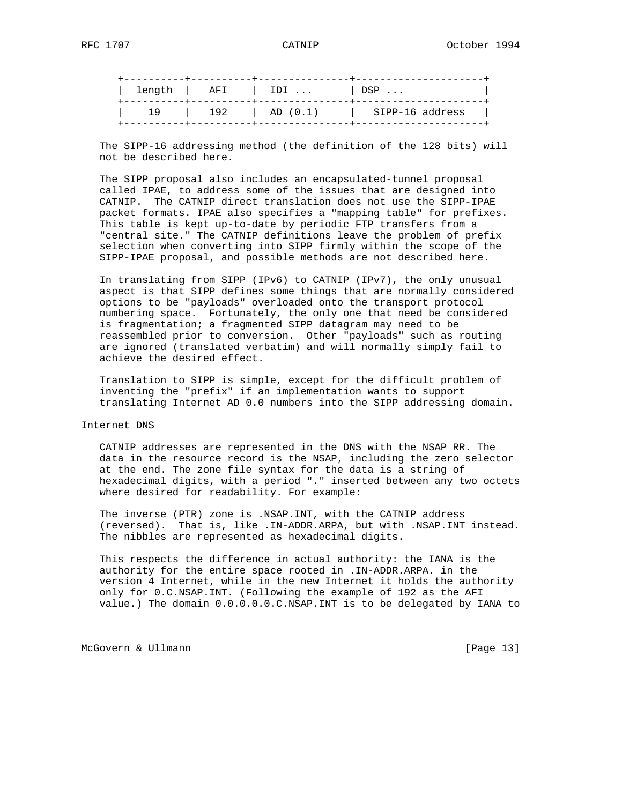|    | length   AFI | IDI      | $\vert$ DSP $\ldots$ |
|----|--------------|----------|----------------------|
| 19 | 192          | AD (0.1) | SIPP-16 address      |

 The SIPP-16 addressing method (the definition of the 128 bits) will not be described here.

 The SIPP proposal also includes an encapsulated-tunnel proposal called IPAE, to address some of the issues that are designed into CATNIP. The CATNIP direct translation does not use the SIPP-IPAE packet formats. IPAE also specifies a "mapping table" for prefixes. This table is kept up-to-date by periodic FTP transfers from a "central site." The CATNIP definitions leave the problem of prefix selection when converting into SIPP firmly within the scope of the SIPP-IPAE proposal, and possible methods are not described here.

 In translating from SIPP (IPv6) to CATNIP (IPv7), the only unusual aspect is that SIPP defines some things that are normally considered options to be "payloads" overloaded onto the transport protocol numbering space. Fortunately, the only one that need be considered is fragmentation; a fragmented SIPP datagram may need to be reassembled prior to conversion. Other "payloads" such as routing are ignored (translated verbatim) and will normally simply fail to achieve the desired effect.

 Translation to SIPP is simple, except for the difficult problem of inventing the "prefix" if an implementation wants to support translating Internet AD 0.0 numbers into the SIPP addressing domain.

Internet DNS

 CATNIP addresses are represented in the DNS with the NSAP RR. The data in the resource record is the NSAP, including the zero selector at the end. The zone file syntax for the data is a string of hexadecimal digits, with a period "." inserted between any two octets where desired for readability. For example:

 The inverse (PTR) zone is .NSAP.INT, with the CATNIP address (reversed). That is, like .IN-ADDR.ARPA, but with .NSAP.INT instead. The nibbles are represented as hexadecimal digits.

 This respects the difference in actual authority: the IANA is the authority for the entire space rooted in .IN-ADDR.ARPA. in the version 4 Internet, while in the new Internet it holds the authority only for 0.C.NSAP.INT. (Following the example of 192 as the AFI value.) The domain 0.0.0.0.0.C.NSAP.INT is to be delegated by IANA to

McGovern & Ullmann [Page 13]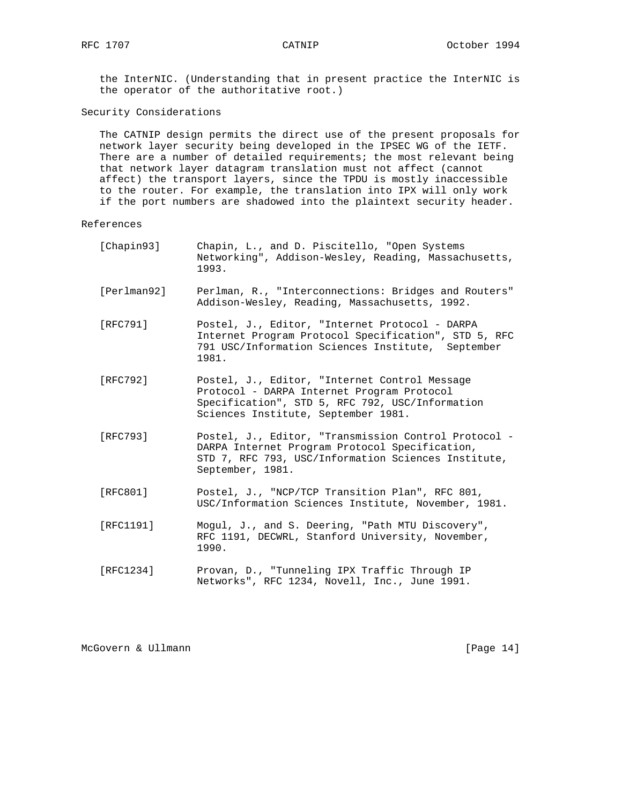the InterNIC. (Understanding that in present practice the InterNIC is the operator of the authoritative root.)

# Security Considerations

 The CATNIP design permits the direct use of the present proposals for network layer security being developed in the IPSEC WG of the IETF. There are a number of detailed requirements; the most relevant being that network layer datagram translation must not affect (cannot affect) the transport layers, since the TPDU is mostly inaccessible to the router. For example, the translation into IPX will only work if the port numbers are shadowed into the plaintext security header.

## References

- [Chapin93] Chapin, L., and D. Piscitello, "Open Systems Networking", Addison-Wesley, Reading, Massachusetts, 1993.
- [Perlman92] Perlman, R., "Interconnections: Bridges and Routers" Addison-Wesley, Reading, Massachusetts, 1992.
- [RFC791] Postel, J., Editor, "Internet Protocol DARPA Internet Program Protocol Specification", STD 5, RFC 791 USC/Information Sciences Institute, September 1981.
- [RFC792] Postel, J., Editor, "Internet Control Message Protocol - DARPA Internet Program Protocol Specification", STD 5, RFC 792, USC/Information Sciences Institute, September 1981.
- [RFC793] Postel, J., Editor, "Transmission Control Protocol DARPA Internet Program Protocol Specification, STD 7, RFC 793, USC/Information Sciences Institute, September, 1981.
- [RFC801] Postel, J., "NCP/TCP Transition Plan", RFC 801, USC/Information Sciences Institute, November, 1981.
- [RFC1191] Mogul, J., and S. Deering, "Path MTU Discovery", RFC 1191, DECWRL, Stanford University, November, 1990.
- [RFC1234] Provan, D., "Tunneling IPX Traffic Through IP Networks", RFC 1234, Novell, Inc., June 1991.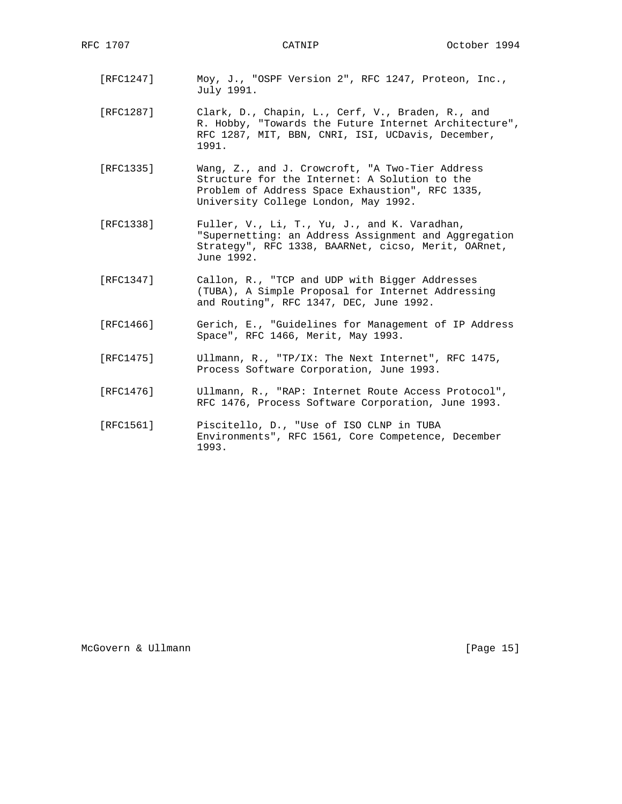- [RFC1247] Moy, J., "OSPF Version 2", RFC 1247, Proteon, Inc., July 1991.
- [RFC1287] Clark, D., Chapin, L., Cerf, V., Braden, R., and R. Hobby, "Towards the Future Internet Architecture", RFC 1287, MIT, BBN, CNRI, ISI, UCDavis, December, 1991.
- [RFC1335] Wang, Z., and J. Crowcroft, "A Two-Tier Address Structure for the Internet: A Solution to the Problem of Address Space Exhaustion", RFC 1335, University College London, May 1992.
- [RFC1338] Fuller, V., Li, T., Yu, J., and K. Varadhan, "Supernetting: an Address Assignment and Aggregation Strategy", RFC 1338, BAARNet, cicso, Merit, OARnet, June 1992.
- [RFC1347] Callon, R., "TCP and UDP with Bigger Addresses (TUBA), A Simple Proposal for Internet Addressing and Routing", RFC 1347, DEC, June 1992.
- [RFC1466] Gerich, E., "Guidelines for Management of IP Address Space", RFC 1466, Merit, May 1993.
- [RFC1475] Ullmann, R., "TP/IX: The Next Internet", RFC 1475, Process Software Corporation, June 1993.
- [RFC1476] Ullmann, R., "RAP: Internet Route Access Protocol", RFC 1476, Process Software Corporation, June 1993.
- [RFC1561] Piscitello, D., "Use of ISO CLNP in TUBA Environments", RFC 1561, Core Competence, December 1993.